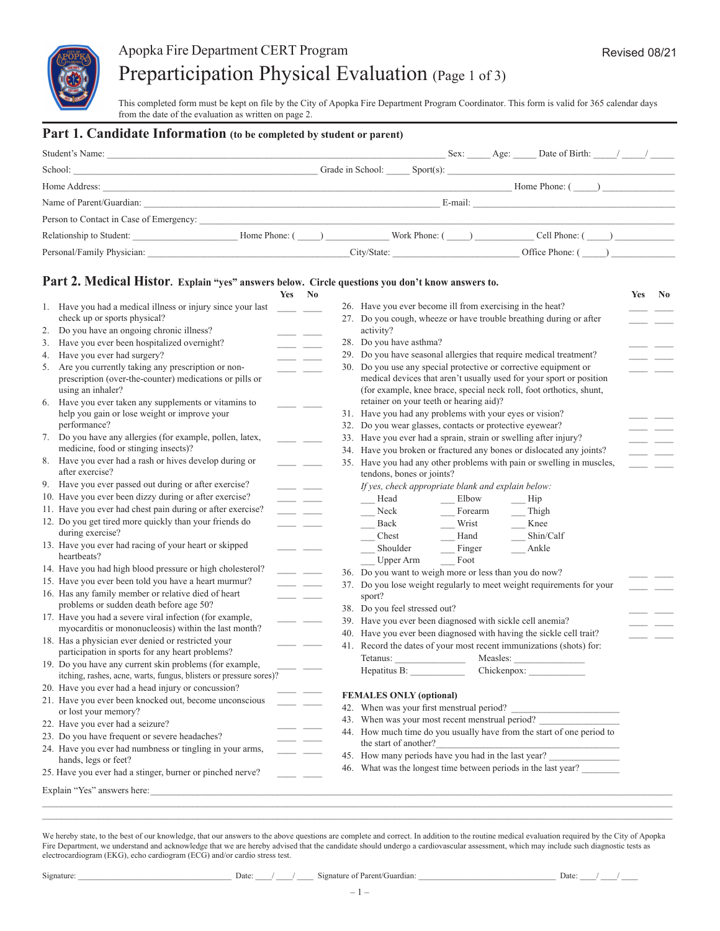

# Apopka Fire Department CERT Program Preparticipation Physical Evaluation (Page 1 of 3)

This completed form must be kept on file by the City of Apopka Fire Department Program Coordinator. This form is valid for 365 calendar days from the date of the evaluation as written on page 2.

#### **Part 1. Candidate Information (to be completed by student or parent)**

| Student's Name:                                                                                                                                                                                                               |               |              |                 |         | Sex: Age: Date of Birth: / / |  |
|-------------------------------------------------------------------------------------------------------------------------------------------------------------------------------------------------------------------------------|---------------|--------------|-----------------|---------|------------------------------|--|
| School:                                                                                                                                                                                                                       |               |              |                 |         |                              |  |
| Home Address: The State of the State of the State of the State of the State of the State of the State of the State of the State of the State of the State of the State of the State of the State of the State of the State of |               |              |                 |         | Home Phone: ()               |  |
| Name of Parent/Guardian:                                                                                                                                                                                                      |               |              |                 | E-mail: |                              |  |
| Person to Contact in Case of Emergency:                                                                                                                                                                                       |               |              |                 |         |                              |  |
| Relationship to Student:                                                                                                                                                                                                      | Home Phone: ( | $\mathbf{1}$ | Work Phone: $($ |         | Cell Phone: ()               |  |
| Personal/Family Physician:                                                                                                                                                                                                    |               |              | City/State:     |         | Office Phone: $($            |  |
|                                                                                                                                                                                                                               |               |              |                 |         |                              |  |

### **Part 2. Medical Histor. Explain "yes" answers below. Circle questions you don't know answers to.**

|    |                                                                                                       | <b>Yes</b> | N <sub>0</sub>           |                                                                                                    | <b>Yes</b> | $\mathbf{N}\mathbf{o}$ |
|----|-------------------------------------------------------------------------------------------------------|------------|--------------------------|----------------------------------------------------------------------------------------------------|------------|------------------------|
|    | 1. Have you had a medical illness or injury since your last                                           |            |                          | 26. Have you ever become ill from exercising in the heat?                                          |            |                        |
|    | check up or sports physical?                                                                          |            |                          | 27. Do you cough, wheeze or have trouble breathing during or after                                 |            |                        |
| 2. | Do you have an ongoing chronic illness?                                                               |            |                          | activity?                                                                                          |            |                        |
| 3. | Have you ever been hospitalized overnight?                                                            |            |                          | 28. Do you have asthma?                                                                            |            |                        |
|    | 4. Have you ever had surgery?                                                                         |            |                          | 29. Do you have seasonal allergies that require medical treatment?                                 |            |                        |
|    | 5. Are you currently taking any prescription or non-                                                  |            |                          | 30. Do you use any special protective or corrective equipment or                                   |            |                        |
|    | prescription (over-the-counter) medications or pills or                                               |            |                          | medical devices that aren't usually used for your sport or position                                |            |                        |
|    | using an inhaler?                                                                                     |            |                          | (for example, knee brace, special neck roll, foot orthotics, shunt,                                |            |                        |
|    | 6. Have you ever taken any supplements or vitamins to                                                 |            |                          | retainer on your teeth or hearing aid)?                                                            |            |                        |
|    | help you gain or lose weight or improve your                                                          |            |                          | 31. Have you had any problems with your eyes or vision?                                            |            |                        |
|    | performance?                                                                                          |            |                          | 32. Do you wear glasses, contacts or protective eyewear?                                           |            |                        |
|    | 7. Do you have any allergies (for example, pollen, latex,                                             |            |                          | 33. Have you ever had a sprain, strain or swelling after injury?                                   |            |                        |
|    | medicine, food or stinging insects)?                                                                  |            |                          | 34. Have you broken or fractured any bones or dislocated any joints?                               |            |                        |
|    | 8. Have you ever had a rash or hives develop during or<br>after exercise?                             |            | $\overline{a}$           | 35. Have you had any other problems with pain or swelling in muscles,<br>tendons, bones or joints? |            |                        |
|    | 9. Have you ever passed out during or after exercise?                                                 |            |                          | If yes, check appropriate blank and explain below:                                                 |            |                        |
|    | 10. Have you ever been dizzy during or after exercise?                                                |            | <b>Contract Contract</b> | Head<br>Elbow<br>Hip                                                                               |            |                        |
|    | 11. Have you ever had chest pain during or after exercise?                                            |            | المستنب المستند          | Neck<br>Forearm<br>Thigh                                                                           |            |                        |
|    | 12. Do you get tired more quickly than your friends do                                                |            |                          | Wrist<br>Back<br>Knee                                                                              |            |                        |
|    | during exercise?                                                                                      |            |                          | Chest<br>Shin/Calf<br>Hand                                                                         |            |                        |
|    | 13. Have you ever had racing of your heart or skipped                                                 |            |                          | Shoulder<br>Finger<br>Ankle                                                                        |            |                        |
|    | heartbeats?                                                                                           |            |                          | Foot<br><b>Upper Arm</b>                                                                           |            |                        |
|    | 14. Have you had high blood pressure or high cholesterol?                                             |            |                          | 36. Do you want to weigh more or less than you do now?                                             |            |                        |
|    | 15. Have you ever been told you have a heart murmur?                                                  |            |                          | 37. Do you lose weight regularly to meet weight requirements for your                              |            |                        |
|    | 16. Has any family member or relative died of heart                                                   |            |                          | sport?                                                                                             |            |                        |
|    | problems or sudden death before age 50?                                                               |            |                          | 38. Do you feel stressed out?                                                                      |            |                        |
|    | 17. Have you had a severe viral infection (for example,                                               |            |                          | 39. Have you ever been diagnosed with sickle cell anemia?                                          |            |                        |
|    | myocarditis or mononucleosis) within the last month?                                                  |            |                          | 40. Have you ever been diagnosed with having the sickle cell trait?                                |            |                        |
|    | 18. Has a physician ever denied or restricted your<br>participation in sports for any heart problems? |            |                          | 41. Record the dates of your most recent immunizations (shots) for:                                |            |                        |
|    | 19. Do you have any current skin problems (for example,                                               |            |                          |                                                                                                    |            |                        |
|    | itching, rashes, acne, warts, fungus, blisters or pressure sores)?                                    |            |                          | Hepatitus B: Chickenpox:                                                                           |            |                        |
|    | 20. Have you ever had a head injury or concussion?                                                    |            |                          | <b>FEMALES ONLY (optional)</b>                                                                     |            |                        |
|    | 21. Have you ever been knocked out, become unconscious                                                |            |                          |                                                                                                    |            |                        |
|    | or lost your memory?                                                                                  |            |                          | 43. When was your most recent menstrual period?                                                    |            |                        |
|    | 22. Have you ever had a seizure?                                                                      |            |                          | 44. How much time do you usually have from the start of one period to                              |            |                        |
|    | 23. Do you have frequent or severe headaches?                                                         |            |                          | the start of another?                                                                              |            |                        |
|    | 24. Have you ever had numbness or tingling in your arms,                                              |            |                          | 45. How many periods have you had in the last year?                                                |            |                        |
|    | hands, legs or feet?                                                                                  |            |                          | 46. What was the longest time between periods in the last year?                                    |            |                        |
|    | 25. Have you ever had a stinger, burner or pinched nerve?                                             |            |                          |                                                                                                    |            |                        |
|    | Explain "Yes" answers here:                                                                           |            |                          |                                                                                                    |            |                        |

We hereby state, to the best of our knowledge, that our answers to the above questions are complete and correct. In addition to the routine medical evaluation required by the City of Apopka Fire Department, we understand and acknowledge that we are hereby advised that the candidate should undergo a cardiovascular assessment, which may include such diagnostic tests as electrocardiogram (EKG), echo cardiogram (ECG) and/or cardio stress test.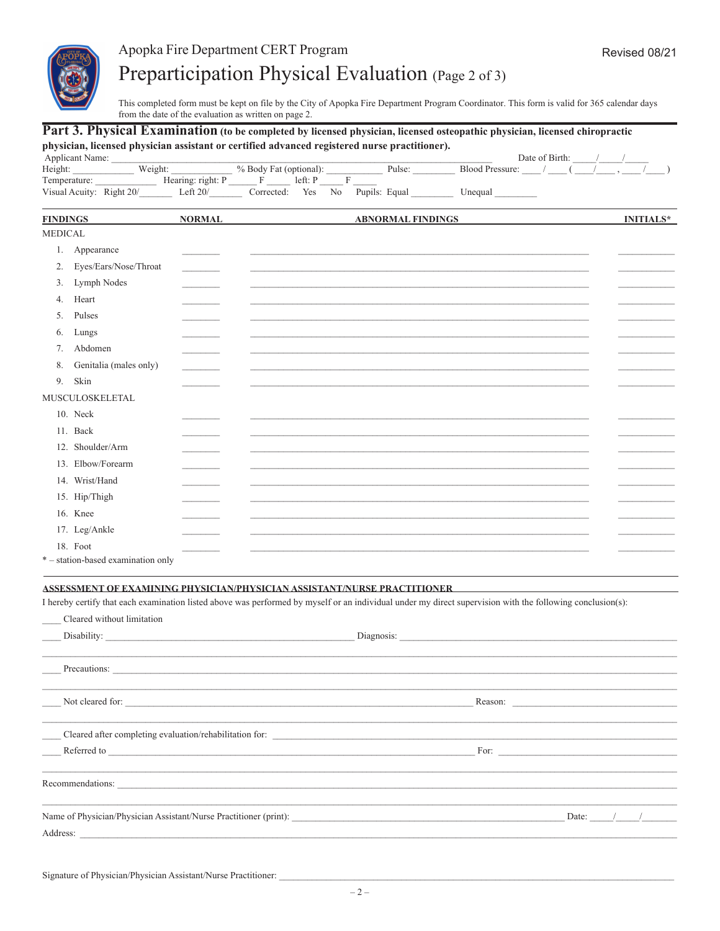

# Apopka Fire Department CERT Program Preparticipation Physical Evaluation (Page 2 of 3)

This completed form must be kept on file by the City of Apopka Fire Department Program Coordinator. This form is valid for 365 calendar days from the date of the evaluation as written on page 2.

### Part 3. Physical Examination (to be completed by licensed physician, licensed osteopathic physician, licensed chiropractic physician, licensed physician assistant or certified advanced registered nurse practitioner).

| Applicant Name:          |                   |                        |                                 |        | Date of Birth:         |
|--------------------------|-------------------|------------------------|---------------------------------|--------|------------------------|
| Height:                  | Weight:           | % Body Fat (optional): |                                 | Pulse: | <b>Blood Pressure:</b> |
| Temperature:             | Hearing: right: P | left: P                |                                 |        |                        |
| Visual Acuity: Right 20/ | Left $20/$        | Yes<br>Corrected:      | Pupils: Equal<br>N <sub>0</sub> |        | ∪negual                |

| <b>FINDINGS</b> |                                    | <b>NORMAL</b>            | <b>ABNORMAL FINDINGS</b> | <b>INITIALS*</b> |
|-----------------|------------------------------------|--------------------------|--------------------------|------------------|
| <b>MEDICAL</b>  |                                    |                          |                          |                  |
| 1.              | Appearance                         |                          |                          |                  |
| 2.              | Eyes/Ears/Nose/Throat              | <b>Contract Contract</b> |                          |                  |
| 3.              | Lymph Nodes                        |                          |                          |                  |
| 4.              | Heart                              |                          |                          |                  |
| 5.              | Pulses                             |                          |                          |                  |
| 6.              | Lungs                              |                          |                          |                  |
| 7 <sup>1</sup>  | Abdomen                            |                          |                          |                  |
| 8.              | Genitalia (males only)             | <b>Contract Contract</b> |                          |                  |
| 9.              | Skin                               |                          |                          |                  |
|                 | MUSCULOSKELETAL                    |                          |                          |                  |
|                 | 10. Neck                           |                          |                          |                  |
|                 | 11. Back                           |                          |                          |                  |
|                 | 12. Shoulder/Arm                   |                          |                          |                  |
|                 | 13. Elbow/Forearm                  |                          |                          |                  |
|                 | 14. Wrist/Hand                     |                          |                          |                  |
|                 | 15. Hip/Thigh                      |                          |                          |                  |
|                 | 16. Knee                           |                          |                          |                  |
|                 | 17. Leg/Ankle                      |                          |                          |                  |
|                 | 18. Foot                           |                          |                          |                  |
|                 | * – station-based examination only |                          |                          |                  |

### ASSESSMENT OF EXAMINING PHYSICIAN/PHYSICIAN ASSISTANT/NURSE PRACTITIONER

I hereby certify that each examination listed above was performed by myself or an individual under my direct supervision with the following conclusion(s):

| Cleared without limitation                                                       |                                                                                                                                                                                                                                      |
|----------------------------------------------------------------------------------|--------------------------------------------------------------------------------------------------------------------------------------------------------------------------------------------------------------------------------------|
|                                                                                  | Disability: Disability: Diagnosis: Diagnosis: Diagnosis: Diagnosis: Diagnosis: Diagnosis: Diagnosis: Diagnosis: Diagnosis: Diagnosis: Diagnosis: Diagnosis: Diagnosis: Diagnosis: Diagnosis: Diagnosis: Diagnosis: Diagnosis:        |
| ,我们也不能在这里的时候,我们也不能在这里的时候,我们也不能会在这里的时候,我们也不能会在这里的时候,我们也不能会在这里的时候,我们也不能会在这里的时候,我们也 |                                                                                                                                                                                                                                      |
|                                                                                  |                                                                                                                                                                                                                                      |
|                                                                                  |                                                                                                                                                                                                                                      |
| Not cleared for:                                                                 |                                                                                                                                                                                                                                      |
| Cleared after completing evaluation/rehabilitation for:                          |                                                                                                                                                                                                                                      |
|                                                                                  | Referred to <u>the contract of the contract of the contract of the contract of the contract of the contract of the contract of the contract of the contract of the contract of the contract of the contract of the contract of t</u> |
| Recommendations:                                                                 |                                                                                                                                                                                                                                      |
|                                                                                  | Date: $/$ /                                                                                                                                                                                                                          |
| Address:                                                                         |                                                                                                                                                                                                                                      |